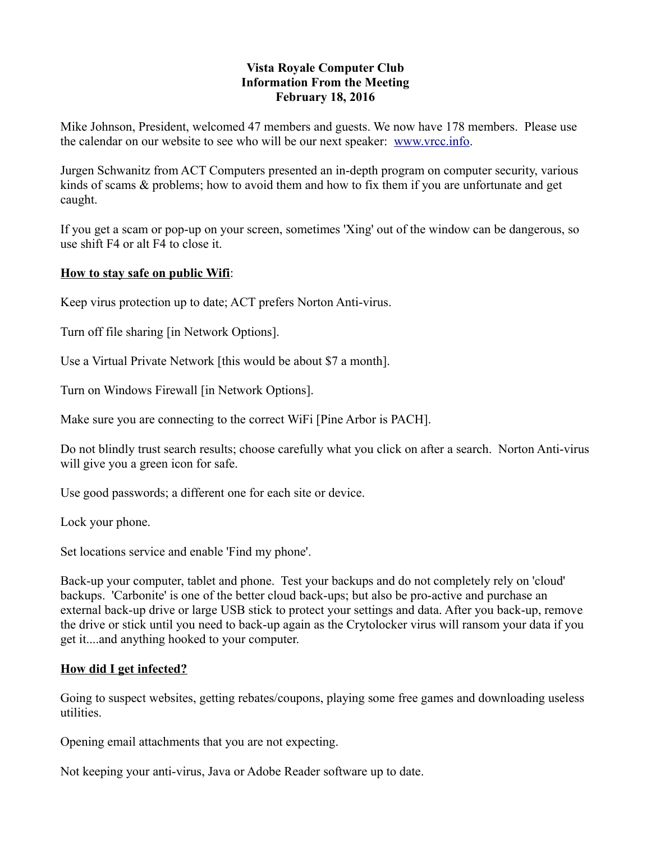## **Vista Royale Computer Club Information From the Meeting February 18, 2016**

Mike Johnson, President, welcomed 47 members and guests. We now have 178 members. Please use the calendar on our website to see who will be our next speaker: [www.vrcc.info.](http://www.vrcc.info/)

Jurgen Schwanitz from ACT Computers presented an in-depth program on computer security, various kinds of scams & problems; how to avoid them and how to fix them if you are unfortunate and get caught.

If you get a scam or pop-up on your screen, sometimes 'Xing' out of the window can be dangerous, so use shift F4 or alt F4 to close it.

## **How to stay safe on public Wifi**:

Keep virus protection up to date; ACT prefers Norton Anti-virus.

Turn off file sharing [in Network Options].

Use a Virtual Private Network [this would be about \$7 a month].

Turn on Windows Firewall [in Network Options].

Make sure you are connecting to the correct WiFi [Pine Arbor is PACH].

Do not blindly trust search results; choose carefully what you click on after a search. Norton Anti-virus will give you a green icon for safe.

Use good passwords; a different one for each site or device.

Lock your phone.

Set locations service and enable 'Find my phone'.

Back-up your computer, tablet and phone. Test your backups and do not completely rely on 'cloud' backups. 'Carbonite' is one of the better cloud back-ups; but also be pro-active and purchase an external back-up drive or large USB stick to protect your settings and data. After you back-up, remove the drive or stick until you need to back-up again as the Crytolocker virus will ransom your data if you get it....and anything hooked to your computer.

# **How did I get infected?**

Going to suspect websites, getting rebates/coupons, playing some free games and downloading useless utilities.

Opening email attachments that you are not expecting.

Not keeping your anti-virus, Java or Adobe Reader software up to date.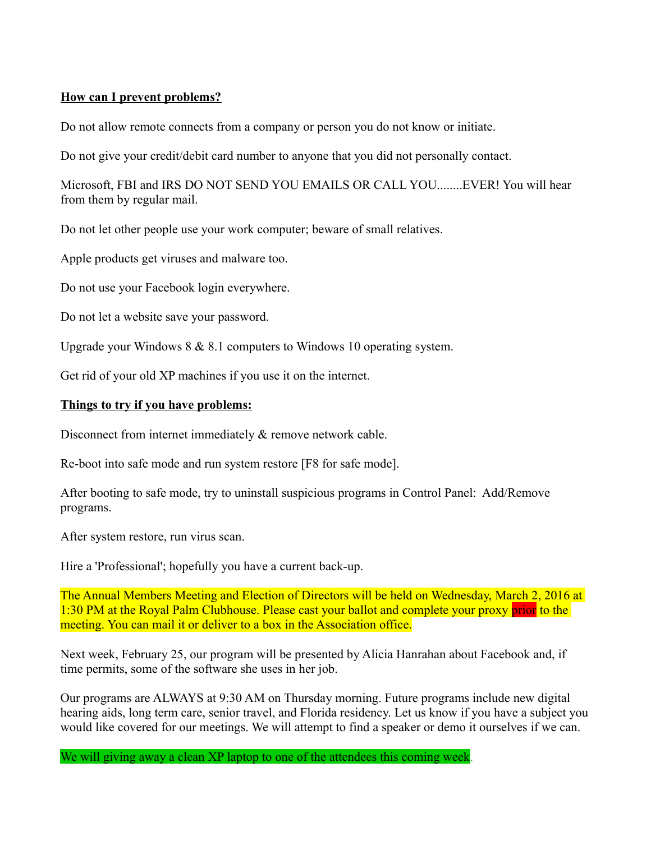## **How can I prevent problems?**

Do not allow remote connects from a company or person you do not know or initiate.

Do not give your credit/debit card number to anyone that you did not personally contact.

Microsoft, FBI and IRS DO NOT SEND YOU EMAILS OR CALL YOU........EVER! You will hear from them by regular mail.

Do not let other people use your work computer; beware of small relatives.

Apple products get viruses and malware too.

Do not use your Facebook login everywhere.

Do not let a website save your password.

Upgrade your Windows 8 & 8.1 computers to Windows 10 operating system.

Get rid of your old XP machines if you use it on the internet.

## **Things to try if you have problems:**

Disconnect from internet immediately  $\&$  remove network cable.

Re-boot into safe mode and run system restore [F8 for safe mode].

After booting to safe mode, try to uninstall suspicious programs in Control Panel: Add/Remove programs.

After system restore, run virus scan.

Hire a 'Professional'; hopefully you have a current back-up.

The Annual Members Meeting and Election of Directors will be held on Wednesday, March 2, 2016 at 1:30 PM at the Royal Palm Clubhouse. Please cast your ballot and complete your proxy prior to the meeting. You can mail it or deliver to a box in the Association office.

Next week, February 25, our program will be presented by Alicia Hanrahan about Facebook and, if time permits, some of the software she uses in her job.

Our programs are ALWAYS at 9:30 AM on Thursday morning. Future programs include new digital hearing aids, long term care, senior travel, and Florida residency. Let us know if you have a subject you would like covered for our meetings. We will attempt to find a speaker or demo it ourselves if we can.

We will giving away a clean XP laptop to one of the attendees this coming week.